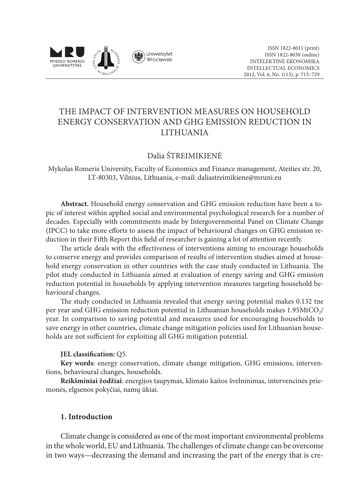

# THE IMPACT OF INTERVENTION MEASURES ON HOUSEHOLD ENERGY CONSERVATION AND GHG EMISSION REDUCTION IN LITHUANIA

# Dalia ŠTREIMIKIENĖ

Mykolas Romeris University, Faculty of Economics and Finance management, Ateities str. 20, LT-80303, Vilnius, Lithuania, e-mail: daliastreimikiene@mruni.eu

**Abstract.** Household energy conservation and GHG emission reduction have been a topic of interest within applied social and environmental psychological research for a number of decades. Especially with commitments made by Intergovernmental Panel on Climate Change (IPCC) to take more efforts to assess the impact of behavioural changes on GHG emission reduction in their Fifth Report this field of researcher is gaining a lot of attention recently.

The article deals with the effectiveness of interventions aiming to encourage households to conserve energy and provides comparison of results of intervention studies aimed at household energy conservation in other countries with the case study conducted in Lithuania. The pilot study conducted in Lithuania aimed at evaluation of energy saving and GHG emission reduction potential in households by applying intervention measures targeting household behavioural changes.

The study conducted in Lithuania revealed that energy saving potential makes 0.132 tne per year and GHG emission reduction potential in Lithuanian households makes  $1.95MtCO$ <sub>/</sub>/ year. In comparison to saving potential and measures used for encouraging households to save energy in other countries, climate change mitigation policies used for Lithuanian households are not sufficient for exploiting all GHG mitigation potential.

#### **JEL classification:** Q5.

**Key words**: energy conservation, climate change mitigation, GHG emissions, interventions, behavioural changes, households.

**Reikšminiai žodžiai**: energijos taupymas, klimato kaitos švelninimas, intervencinės priemonės, elgsenos pokyčiai, namų ūkiai.

#### **1. Introduction**

Climate change is considered as one of the most important environmental problems in the whole world, EU and Lithuania. The challenges of climate change can be overcome in two ways—decreasing the demand and increasing the part of the energy that is cre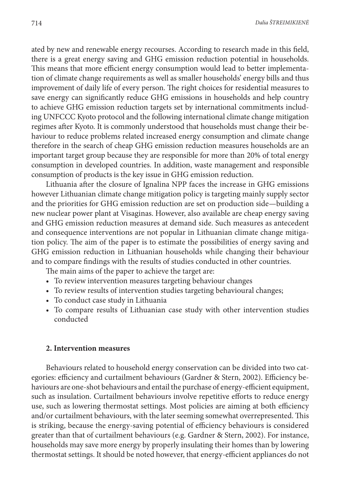ated by new and renewable energy recourses. According to research made in this field, there is a great energy saving and GHG emission reduction potential in households. This means that more efficient energy consumption would lead to better implementation of climate change requirements as well as smaller households' energy bills and thus improvement of daily life of every person. The right choices for residential measures to save energy can significantly reduce GHG emissions in households and help country to achieve GHG emission reduction targets set by international commitments including UNFCCC Kyoto protocol and the following international climate change mitigation regimes after Kyoto. It is commonly understood that households must change their behaviour to reduce problems related increased energy consumption and climate change therefore in the search of cheap GHG emission reduction measures households are an important target group because they are responsible for more than 20% of total energy consumption in developed countries. In addition, waste management and responsible consumption of products is the key issue in GHG emission reduction.

Lithuania after the closure of Ignalina NPP faces the increase in GHG emissions however Lithuanian climate change mitigation policy is targeting mainly supply sector and the priorities for GHG emission reduction are set on production side—building a new nuclear power plant at Visaginas. However, also available are cheap energy saving and GHG emission reduction measures at demand side. Such measures as antecedent and consequence interventions are not popular in Lithuanian climate change mitigation policy. The aim of the paper is to estimate the possibilities of energy saving and GHG emission reduction in Lithuanian households while changing their behaviour and to compare findings with the results of studies conducted in other countries.

The main aims of the paper to achieve the target are:

- To review intervention measures targeting behaviour changes
- To review results of intervention studies targeting behavioural changes;
- To conduct case study in Lithuania
- To compare results of Lithuanian case study with other intervention studies conducted

#### **2. Intervention measures**

Behaviours related to household energy conservation can be divided into two categories: efficiency and curtailment behaviours (Gardner & Stern, 2002). Efficiency behaviours are one-shot behaviours and entail the purchase of energy-efficient equipment, such as insulation. Curtailment behaviours involve repetitive efforts to reduce energy use, such as lowering thermostat settings. Most policies are aiming at both efficiency and/or curtailment behaviours, with the later seeming somewhat overrepresented. This is striking, because the energy-saving potential of efficiency behaviours is considered greater than that of curtailment behaviours (e.g. Gardner & Stern, 2002). For instance, households may save more energy by properly insulating their homes than by lowering thermostat settings. It should be noted however, that energy-efficient appliances do not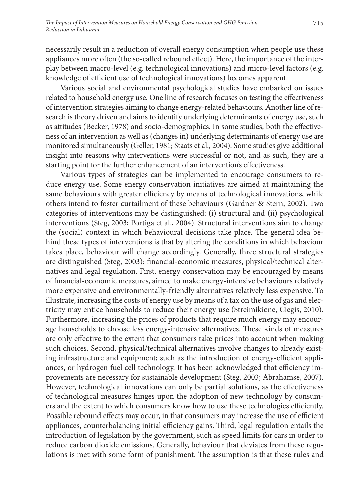necessarily result in a reduction of overall energy consumption when people use these appliances more often (the so-called rebound effect). Here, the importance of the interplay between macro-level (e.g. technological innovations) and micro-level factors (e.g. knowledge of efficient use of technological innovations) becomes apparent.

Various social and environmental psychological studies have embarked on issues related to household energy use. One line of research focuses on testing the effectiveness of intervention strategies aiming to change energy-related behaviours. Another line of research is theory driven and aims to identify underlying determinants of energy use, such as attitudes (Becker, 1978) and socio-demographics. In some studies, both the effectiveness of an intervention as well as (changes in) underlying determinants of energy use are monitored simultaneously (Geller, 1981; Staats et al., 2004). Some studies give additional insight into reasons why interventions were successful or not, and as such, they are a starting point for the further enhancement of an intervention's effectiveness.

Various types of strategies can be implemented to encourage consumers to reduce energy use. Some energy conservation initiatives are aimed at maintaining the same behaviours with greater efficiency by means of technological innovations, while others intend to foster curtailment of these behaviours (Gardner & Stern, 2002). Two categories of interventions may be distinguished: (i) structural and (ii) psychological interventions (Steg, 2003; Portiga et al., 2004). Structural interventions aim to change the (social) context in which behavioural decisions take place. The general idea behind these types of interventions is that by altering the conditions in which behaviour takes place, behaviour will change accordingly. Generally, three structural strategies are distinguished (Steg, 2003): financial-economic measures, physical/technical alternatives and legal regulation. First, energy conservation may be encouraged by means of financial-economic measures, aimed to make energy-intensive behaviours relatively more expensive and environmentally-friendly alternatives relatively less expensive. To illustrate, increasing the costs of energy use by means of a tax on the use of gas and electricity may entice households to reduce their energy use (Streimikiene, Ciegis, 2010). Furthermore, increasing the prices of products that require much energy may encourage households to choose less energy-intensive alternatives. These kinds of measures are only effective to the extent that consumers take prices into account when making such choices. Second, physical/technical alternatives involve changes to already existing infrastructure and equipment; such as the introduction of energy-efficient appliances, or hydrogen fuel cell technology. It has been acknowledged that efficiency improvements are necessary for sustainable development (Steg, 2003; Abrahamse, 2007). However, technological innovations can only be partial solutions, as the effectiveness of technological measures hinges upon the adoption of new technology by consumers and the extent to which consumers know how to use these technologies efficiently. Possible rebound effects may occur, in that consumers may increase the use of efficient appliances, counterbalancing initial efficiency gains. Third, legal regulation entails the introduction of legislation by the government, such as speed limits for cars in order to reduce carbon dioxide emissions. Generally, behaviour that deviates from these regulations is met with some form of punishment. The assumption is that these rules and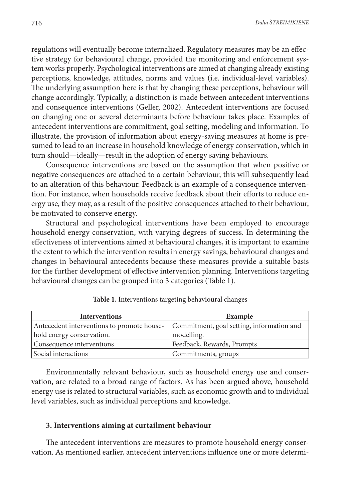regulations will eventually become internalized. Regulatory measures may be an effective strategy for behavioural change, provided the monitoring and enforcement system works properly. Psychological interventions are aimed at changing already existing perceptions, knowledge, attitudes, norms and values (i.e. individual-level variables). The underlying assumption here is that by changing these perceptions, behaviour will change accordingly. Typically, a distinction is made between antecedent interventions and consequence interventions (Geller, 2002). Antecedent interventions are focused on changing one or several determinants before behaviour takes place. Examples of antecedent interventions are commitment, goal setting, modeling and information. To illustrate, the provision of information about energy-saving measures at home is presumed to lead to an increase in household knowledge of energy conservation, which in turn should—ideally—result in the adoption of energy saving behaviours.

Consequence interventions are based on the assumption that when positive or negative consequences are attached to a certain behaviour, this will subsequently lead to an alteration of this behaviour. Feedback is an example of a consequence intervention. For instance, when households receive feedback about their efforts to reduce energy use, they may, as a result of the positive consequences attached to their behaviour, be motivated to conserve energy.

Structural and psychological interventions have been employed to encourage household energy conservation, with varying degrees of success. In determining the effectiveness of interventions aimed at behavioural changes, it is important to examine the extent to which the intervention results in energy savings, behavioural changes and changes in behavioural antecedents because these measures provide a suitable basis for the further development of effective intervention planning. Interventions targeting behavioural changes can be grouped into 3 categories (Table 1).

| <b>Interventions</b>                       | Example                                   |
|--------------------------------------------|-------------------------------------------|
| Antecedent interventions to promote house- | Commitment, goal setting, information and |
| hold energy conservation.                  | modelling.                                |
| Consequence interventions                  | Feedback, Rewards, Prompts                |
| Social interactions                        | Commitments, groups                       |

Environmentally relevant behaviour, such as household energy use and conservation, are related to a broad range of factors. As has been argued above, household energy use is related to structural variables, such as economic growth and to individual level variables, such as individual perceptions and knowledge.

#### **3. Interventions aiming at curtailment behaviour**

The antecedent interventions are measures to promote household energy conservation. As mentioned earlier, antecedent interventions influence one or more determi-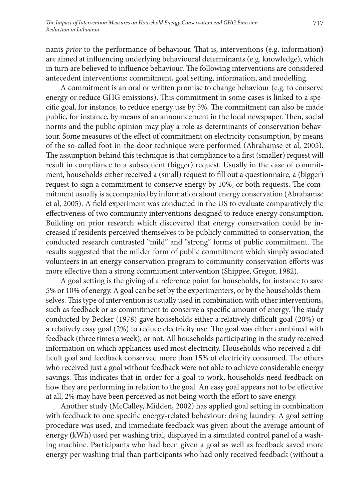nants *prior* to the performance of behaviour. That is, interventions (e.g. information) are aimed at influencing underlying behavioural determinants (e.g. knowledge), which in turn are believed to influence behaviour. The following interventions are considered antecedent interventions: commitment, goal setting, information, and modelling.

A commitment is an oral or written promise to change behaviour (e.g. to conserve energy or reduce GHG emissions). This commitment in some cases is linked to a specific goal, for instance, to reduce energy use by 5%. The commitment can also be made public, for instance, by means of an announcement in the local newspaper. Then, social norms and the public opinion may play a role as determinants of conservation behaviour. Some measures of the effect of commitment on electricity consumption, by means of the so-called foot-in-the-door technique were performed (Abrahamse et al, 2005). The assumption behind this technique is that compliance to a first (smaller) request will result in compliance to a subsequent (bigger) request. Usually in the case of commitment, households either received a (small) request to fill out a questionnaire, a (bigger) request to sign a commitment to conserve energy by 10%, or both requests. The commitment usually is accompanied by information about energy conservation (Abrahamse et al, 2005). A field experiment was conducted in the US to evaluate comparatively the effectiveness of two community interventions designed to reduce energy consumption. Building on prior research which discovered that energy conservation could be increased if residents perceived themselves to be publicly committed to conservation, the conducted research contrasted "mild" and "strong" forms of public commitment. The results suggested that the milder form of public commitment which simply associated volunteers in an energy conservation program to community conservation efforts was more effective than a strong commitment intervention (Shippee, Gregor, 1982).

A goal setting is the giving of a reference point for households, for instance to save 5% or 10% of energy. A goal can be set by the experimenters, or by the households themselves. This type of intervention is usually used in combination with other interventions, such as feedback or as commitment to conserve a specific amount of energy. The study conducted by Becker (1978) gave households either a relatively difficult goal (20%) or a relatively easy goal (2%) to reduce electricity use. The goal was either combined with feedback (three times a week), or not. All households participating in the study received information on which appliances used most electricity. Households who received a difficult goal and feedback conserved more than 15% of electricity consumed. The others who received just a goal without feedback were not able to achieve considerable energy savings. This indicates that in order for a goal to work, households need feedback on how they are performing in relation to the goal. An easy goal appears not to be effective at all; 2% may have been perceived as not being worth the effort to save energy.

Another study (McCalley, Midden, 2002) has applied goal setting in combination with feedback to one specific energy-related behaviour: doing laundry. A goal setting procedure was used, and immediate feedback was given about the average amount of energy (kWh) used per washing trial, displayed in a simulated control panel of a washing machine. Participants who had been given a goal as well as feedback saved more energy per washing trial than participants who had only received feedback (without a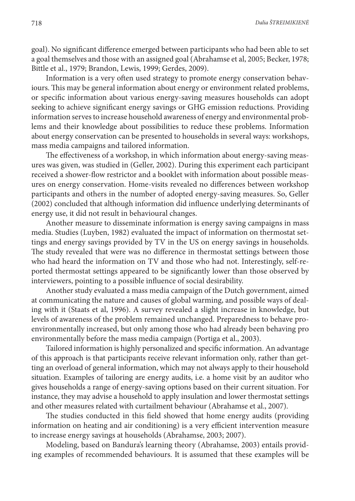718 *Dalia Štreimikienė*

goal). No significant difference emerged between participants who had been able to set a goal themselves and those with an assigned goal (Abrahamse et al, 2005; Becker, 1978; Bittle et al., 1979; Brandon, Lewis, 1999; Gerdes, 2009).

Information is a very often used strategy to promote energy conservation behaviours. This may be general information about energy or environment related problems, or specific information about various energy-saving measures households can adopt seeking to achieve significant energy savings or GHG emission reductions. Providing information serves to increase household awareness of energy and environmental problems and their knowledge about possibilities to reduce these problems. Information about energy conservation can be presented to households in several ways: workshops, mass media campaigns and tailored information.

The effectiveness of a workshop, in which information about energy-saving measures was given, was studied in (Geller, 2002). During this experiment each participant received a shower-flow restrictor and a booklet with information about possible measures on energy conservation. Home-visits revealed no differences between workshop participants and others in the number of adopted energy-saving measures. So, Geller (2002) concluded that although information did influence underlying determinants of energy use, it did not result in behavioural changes.

Another measure to disseminate information is energy saving campaigns in mass media. Studies (Luyben, 1982) evaluated the impact of information on thermostat settings and energy savings provided by TV in the US on energy savings in households. The study revealed that were was no difference in thermostat settings between those who had heard the information on TV and those who had not. Interestingly, self-reported thermostat settings appeared to be significantly lower than those observed by interviewers, pointing to a possible influence of social desirability.

Another study evaluated a mass media campaign of the Dutch government, aimed at communicating the nature and causes of global warming, and possible ways of dealing with it (Staats et al, 1996). A survey revealed a slight increase in knowledge, but levels of awareness of the problem remained unchanged. Preparedness to behave proenvironmentally increased, but only among those who had already been behaving pro environmentally before the mass media campaign (Portiga et al., 2003).

Tailored information is highly personalized and specific information. An advantage of this approach is that participants receive relevant information only, rather than getting an overload of general information, which may not always apply to their household situation. Examples of tailoring are energy audits, i.e. a home visit by an auditor who gives households a range of energy-saving options based on their current situation. For instance, they may advise a household to apply insulation and lower thermostat settings and other measures related with curtailment behaviour (Abrahamse et al., 2007).

The studies conducted in this field showed that home energy audits (providing information on heating and air conditioning) is a very efficient intervention measure to increase energy savings at households (Abrahamse, 2003; 2007).

Modeling, based on Bandura's learning theory (Abrahamse, 2003) entails providing examples of recommended behaviours. It is assumed that these examples will be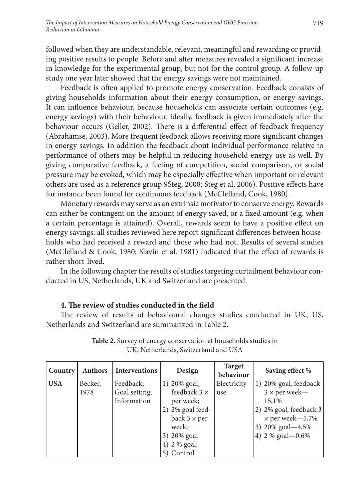followed when they are understandable, relevant, meaningful and rewarding or providing positive results to people. Before and after measures revealed a significant increase in knowledge for the experimental group, but not for the control group. A follow-up study one year later showed that the energy savings were not maintained.

Feedback is often applied to promote energy conservation. Feedback consists of giving households information about their energy consumption, or energy savings. It can influence behaviour, because households can associate certain outcomes (e.g. energy savings) with their behaviour. Ideally, feedback is given immediately after the behaviour occurs (Geller, 2002). There is a differential effect of feedback frequency (Abrahamse, 2003). More frequent feedback allows receiving more significant changes in energy savings. In addition the feedback about individual performance relative to performance of others may be helpful in reducing household energy use as well. By giving comparative feedback, a feeling of competition, social comparison, or social pressure may be evoked, which may be especially effective when important or relevant others are used as a reference group 9Steg, 2008; Steg et al, 2006). Positive effects have for instance been found for continuous feedback (McClelland, Cook, 1980).

Monetary rewards may serve as an extrinsic motivator to conserve energy. Rewards can either be contingent on the amount of energy saved, or a fixed amount (e.g. when a certain percentage is attained). Overall, rewards seem to have a positive effect on energy savings: all studies reviewed here report significant differences between households who had received a reward and those who had not. Results of several studies (McClelland & Cook, 1980; Slavin et al. 1981) indicated that the effect of rewards is rather short-lived.

In the following chapter the results of studies targeting curtailment behaviour conducted in US, Netherlands, UK and Switzerland are presented.

### **4. The review of studies conducted in the field**

The review of results of behavioural changes studies conducted in UK, US, Netherlands and Switzerland are summarized in Table 2.

| Country    | <b>Authors</b> | Interventions | Design              | <b>Target</b><br>behaviour | Saving effect %        |
|------------|----------------|---------------|---------------------|----------------------------|------------------------|
| <b>USA</b> | Becker,        | Feedback;     | 1) 20% goal,        | Electricity                | 1) 20% goal, feedback  |
|            | 1978           | Goal setting; | feedback $3 \times$ | use                        | $3 \times$ per week—   |
|            |                | Information   | per week;           |                            | 15,1%                  |
|            |                |               | 2) 2% goal feed-    |                            | 2) 2% goal, feedback 3 |
|            |                |               | back $3 \times per$ |                            | $\times$ per week-5,7% |
|            |                |               | week;               |                            | 3) 20% goal-4,5%       |
|            |                |               | 3) 20% goal         |                            | 4) 2 % goal - 0.6%     |
|            |                |               | 4) 2 % goal;        |                            |                        |
|            |                |               | 5) Control          |                            |                        |

**Table 2.** Survey of energy conservation at households studies in UK, Netherlands, Switzerland and USA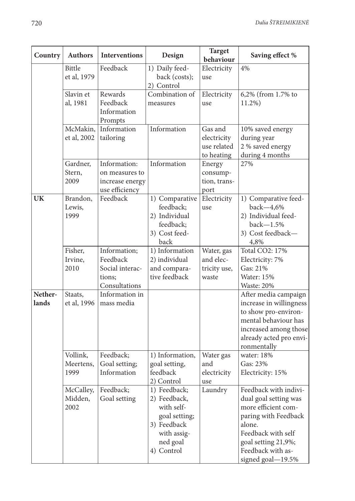| Country          | <b>Authors</b>                | <b>Interventions</b>                                                   | Design                                                                                                              | <b>Target</b><br>behaviour                          | Saving effect %                                                                                                                                                                                |
|------------------|-------------------------------|------------------------------------------------------------------------|---------------------------------------------------------------------------------------------------------------------|-----------------------------------------------------|------------------------------------------------------------------------------------------------------------------------------------------------------------------------------------------------|
|                  | Bittle<br>et al, 1979         | Feedback                                                               | 1) Daily feed-<br>back (costs);<br>2) Control                                                                       | Electricity<br>use                                  | 4%                                                                                                                                                                                             |
|                  | Slavin et<br>al, 1981         | Rewards<br>Feedback<br>Information<br>Prompts                          | Combination of<br>measures                                                                                          | Electricity<br>use                                  | 6,2% (from 1.7% to<br>11.2%)                                                                                                                                                                   |
|                  | McMakin,<br>et al, 2002       | Information<br>tailoring                                               | Information                                                                                                         | Gas and<br>electricity<br>use related<br>to heating | 10% saved energy<br>during year<br>2 % saved energy<br>during 4 months                                                                                                                         |
|                  | Gardner,<br>Stern,<br>2009    | Information:<br>on measures to<br>increase energy<br>use efficiency    | Information                                                                                                         | Energy<br>consump-<br>tion, trans-<br>port          | 27%                                                                                                                                                                                            |
| <b>UK</b>        | Brandon,<br>Lewis,<br>1999    | Feedback                                                               | 1) Comparative<br>feedback;<br>2) Individual<br>feedback;<br>3) Cost feed-<br>back                                  | Electricity<br>use                                  | 1) Comparative feed-<br>back-4,6%<br>2) Individual feed-<br>$back-1.5%$<br>3) Cost feedback-<br>4,8%                                                                                           |
|                  | Fisher,<br>Irvine,<br>2010    | Information;<br>Feedback<br>Social interac-<br>tions:<br>Consultations | 1) Information<br>2) individual<br>and compara-<br>tive feedback                                                    | Water, gas<br>and elec-<br>tricity use,<br>waste    | Total CO2: 17%<br>Electricity: 7%<br>Gas: 21%<br><b>Water: 15%</b><br>Waste: 20%                                                                                                               |
| Nether-<br>lands | Staats,<br>et al, 1996        | Information in<br>mass media                                           |                                                                                                                     |                                                     | After media campaign<br>increase in willingness<br>to show pro-environ-<br>mental behaviour has<br>increased among those<br>already acted pro envi-<br>ronmentally                             |
|                  | Vollink,<br>Meertens,<br>1999 | Feedback;<br>Goal setting;<br>Information                              | 1) Information,<br>goal setting,<br>feedback<br>2) Control                                                          | Water gas<br>and<br>electricity<br>use              | water: 18%<br>Gas: 23%<br>Electricity: 15%                                                                                                                                                     |
|                  | McCalley,<br>Midden,<br>2002  | Feedback;<br>Goal setting                                              | 1) Feedback;<br>2) Feedback,<br>with self-<br>goal setting;<br>3) Feedback<br>with assig-<br>ned goal<br>4) Control | Laundry                                             | Feedback with indivi-<br>dual goal setting was<br>more efficient com-<br>paring with Feedback<br>alone.<br>Feedback with self<br>goal setting 21,9%;<br>Feedback with as-<br>signed goal-19.5% |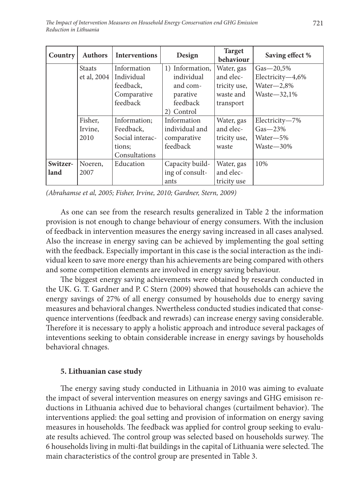| Country                 | <b>Authors</b>  | <b>Interventions</b> | Design          | <b>Target</b><br>behaviour | Saving effect %      |
|-------------------------|-----------------|----------------------|-----------------|----------------------------|----------------------|
|                         | <b>Staats</b>   | Information          | 1) Information, | Water, gas                 | $Gas - 20,5%$        |
|                         | et al, 2004 $ $ | Individual           | individual      | and elec-                  | Electricity $-4,6\%$ |
|                         |                 | feedback,            | and com-        | tricity use,               | $Water=2,8%$         |
|                         |                 | Comparative          | parative        | waste and                  | Waste $-32,1%$       |
|                         |                 | feedback             | feedback        | transport                  |                      |
|                         |                 |                      | 2) Control      |                            |                      |
| Fisher,<br>Information: |                 | Information          | Water, gas      | Electricity-7%             |                      |
|                         | Irvine,         | Feedback,            | individual and  | and elec-                  | $Gas-23%$            |
|                         | 2010            | Social interac-      | comparative     | tricity use,               | Water-5%             |
|                         |                 | tions;               | feedback        | waste                      | Waste—30%            |
|                         |                 | Consultations        |                 |                            |                      |
| Switzer-                | Noeren,         | Education            | Capacity build- | Water, gas                 | 10%                  |
| land                    | 2007            |                      | ing of consult- | and elec-                  |                      |
|                         |                 |                      | ants            | tricity use                |                      |

*(Abrahamse et al, 2005; Fisher, Irvine, 2010; Gardner, Stern, 2009)*

As one can see from the research results generalized in Table 2 the information provision is not enough to change behaviour of energy consumers. With the inclusion of feedback in intervention measures the energy saving increased in all cases analysed. Also the increase in energy saving can be achieved by implementing the goal setting with the feedback. Especially important in this case is the social interaction as the individual keen to save more energy than his achievements are being compared with others and some competition elements are involved in energy saving behaviour.

The biggest energy saving achievements were obtained by research conducted in the UK. G. T. Gardner and P. C Stern (2009) showed that households can achieve the energy savings of 27% of all energy consumed by households due to energy saving measures and behavioral changes. Nwertheless conducted studies indicated that consequence interventions (feedback and rewrads) can increase energy saving considerable. Therefore it is necessary to apply a holistic approach and introduce several packages of inteventions seeking to obtain considerable increase in energy savings by households behavioral chnages.

#### **5. Lithuanian case study**

The energy saving study conducted in Lithuania in 2010 was aiming to evaluate the impact of several intervention measures on energy savings and GHG emisison reductions in Lithuania achived due to behavioral changes (curtailment behavior). The interventions applied: the goal setting and provision of information on energy saving measures in households. The feedback was applied for control group seeking to evaluate results achieved. The control group was selected based on households surwey. The 6 households living in multi-flat buildings in the capital of Lithuania were selected. The main characteristics of the control group are presented in Table 3.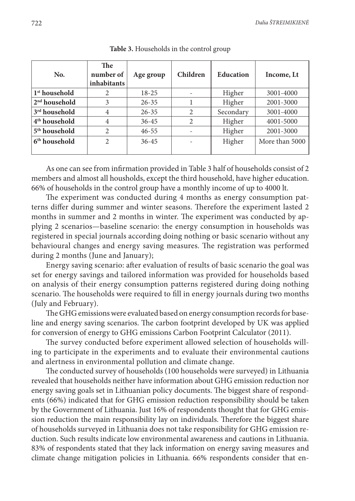| No.                       | <b>The</b><br>number of<br>inhabitants | Age group | Children | <b>Education</b> | Income, Lt     |
|---------------------------|----------------------------------------|-----------|----------|------------------|----------------|
| 1 <sup>st</sup> household | 2                                      | 18-25     |          | Higher           | 3001-4000      |
| $2nd$ household           | 3                                      | $26 - 35$ |          | Higher           | 2001-3000      |
| 3rd household             | 4                                      | $26 - 35$ | 2        | Secondary        | 3001-4000      |
| 4 <sup>th</sup> household | $\overline{4}$                         | $36 - 45$ | 2        | Higher           | 4001-5000      |
| 5 <sup>th</sup> household | 2                                      | $46 - 55$ |          | Higher           | 2001-3000      |
| 6 <sup>th</sup> household | $\overline{2}$                         | $36 - 45$ |          | Higher           | More than 5000 |
|                           |                                        |           |          |                  |                |

**Table 3.** Households in the control group

As one can see from infirmation provided in Table 3 half of households consist of 2 members and almost all housholds, except the third household, have higher education. 66% of households in the control group have a monthly income of up to 4000 lt.

The experiment was conducted during 4 months as energy consumption patterns differ during summer and winter seasons. Therefore the experiment lasted 2 months in summer and 2 months in winter. The experiment was conducted by applying 2 scenarios—baseline scenario: the energy consumption in households was registered in special journals according doing nothing or basic scenario without any behavioural changes and energy saving measures. The registration was performed during 2 months (June and January);

Energy saving scenario: after evaluation of results of basic scenario the goal was set for energy savings and tailored information was provided for households based on analysis of their energy consumption patterns registered during doing nothing scenario. The households were required to fill in energy journals during two months (July and February).

The GHG emissions were evaluated based on energy consumption records for baseline and energy saving scenarios. The carbon footprint developed by UK was applied for conversion of energy to GHG emissions Carbon Footprint Calculator (2011).

The survey conducted before experiment allowed selection of households willing to participate in the experiments and to evaluate their environmental cautions and alertness in environmental pollution and climate change.

The conducted survey of households (100 households were surveyed) in Lithuania revealed that households neither have information about GHG emission reduction nor energy saving goals set in Lithuanian policy documents. The biggest share of respondents (66%) indicated that for GHG emission reduction responsibility should be taken by the Government of Lithuania. Just 16% of respondents thought that for GHG emission reduction the main responsibility lay on individuals. Therefore the biggest share of households surveyed in Lithuania does not take responsibility for GHG emission reduction. Such results indicate low environmental awareness and cautions in Lithuania. 83% of respondents stated that they lack information on energy saving measures and climate change mitigation policies in Lithuania. 66% respondents consider that en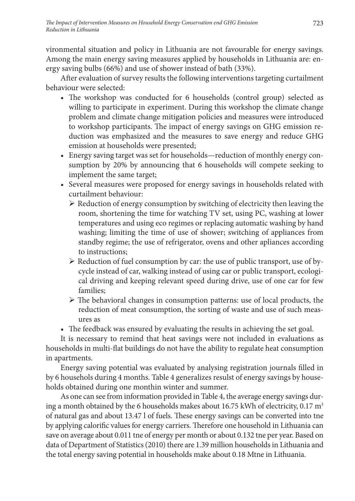vironmental situation and policy in Lithuania are not favourable for energy savings. Among the main energy saving measures applied by households in Lithuania are: energy saving bulbs (66%) and use of shower instead of bath (33%).

After evaluation of survey results the following interventions targeting curtailment behaviour were selected:

- The workshop was conducted for 6 households (control group) selected as willing to participate in experiment. During this workshop the climate change problem and climate change mitigation policies and measures were introduced to workshop participants. The impact of energy savings on GHG emission reduction was emphasized and the measures to save energy and reduce GHG emission at households were presented;
- Energy saving target was set for households—reduction of monthly energy consumption by 20% by announcing that 6 households will compete seeking to implement the same target;
- Several measures were proposed for energy savings in households related with curtailment behaviour:
	- $\triangleright$  Reduction of energy consumption by switching of electricity then leaving the room, shortening the time for watching TV set, using PC, washing at lower temperatures and using eco regimes or replacing automatic washing by hand washing; limiting the time of use of shower; switching of appliances from standby regime; the use of refrigerator, ovens and other apliances according to instructions;
	- $\triangleright$  Reduction of fuel consumption by car: the use of public transport, use of bycycle instead of car, walking instead of using car or public transport, ecological driving and keeping relevant speed during drive, use of one car for few families;
	- The behavioral changes in consumption patterns: use of local products, the reduction of meat consumption, the sorting of waste and use of such measures as
- The feedback was ensured by evaluating the results in achieving the set goal.

It is necessary to remind that heat savings were not included in evaluations as households in multi-flat buildings do not have the ability to regulate heat consumption in apartments.

Energy saving potential was evaluated by analysing registration journals filled in by 6 househols during 4 months. Table 4 generalizes resulst of energy savings by households obtained during one monthin winter and summer.

As one can see from information provided in Table 4, the average energy savings during a month obtained by the 6 households makes about 16.75 kWh of electricity, 0.17  $m<sup>3</sup>$ of natural gas and about 13.47 l of fuels. These energy savings can be converted into tne by applying calorific values for energy carriers. Therefore one household in Lithuania can save on average about 0.011 tne of energy per month or about 0.132 tne per year. Based on data of Department of Statistics (2010) there are 1.39 million households in Lithuania and the total energy saving potential in households make about 0.18 Mtne in Lithuania.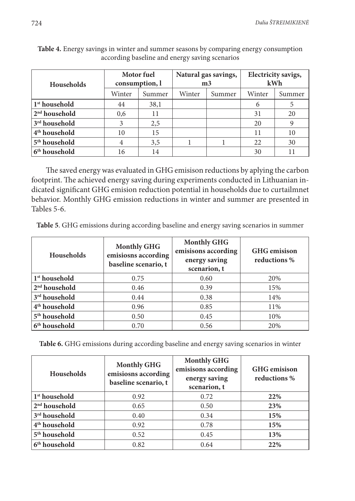| <b>Households</b>         | Motor fuel<br>consumption, l |        | m <sub>3</sub> | Natural gas savings, | Electricity savigs,<br>kWh |        |
|---------------------------|------------------------------|--------|----------------|----------------------|----------------------------|--------|
|                           | Winter                       | Summer | Winter         | Summer               | Winter                     | Summer |
| 1 <sup>st</sup> household | 44                           | 38,1   |                |                      |                            |        |
| 2 <sup>nd</sup> household | 0,6                          | 11     |                |                      | 31                         | 20     |
| 3 <sup>rd</sup> household | 3                            | 2,5    |                |                      | 20                         |        |
| 4 <sup>th</sup> household | 10                           | 15     |                |                      | 11                         | 10     |
| 5 <sup>th</sup> household | 4                            | 3,5    |                |                      | 22                         | 30     |
| 6 <sup>th</sup> household | 16                           | 14     |                |                      | 30                         | 11     |

**Table 4.** Energy savings in winter and summer seasons by comparing energy consumption according baseline and energy saving scenarios

The saved energy was evaluated in GHG emisison reductions by aplying the carbon footprint. The achieved energy saving during experiments conducted in Lithuanian indicated significant GHG emision reduction potential in households due to curtailmnet behavior. Monthly GHG emission reductions in winter and summer are presented in Tables 5-6.

**Table 5**. GHG emissions during according baseline and energy saving scenarios in summer

| <b>Households</b>         | <b>Monthly GHG</b><br>emisiosns according<br>baseline scenario, t | <b>Monthly GHG</b><br>emisisons according<br>energy saving<br>scenarion, t | <b>GHG</b> emisison<br>reductions % |
|---------------------------|-------------------------------------------------------------------|----------------------------------------------------------------------------|-------------------------------------|
| 1 <sup>st</sup> household | 0.75                                                              | 0.60                                                                       | 20%                                 |
| $2nd$ household           | 0.46                                                              | 0.39                                                                       | 15%                                 |
| 3 <sup>rd</sup> household | 0.44                                                              | 0.38                                                                       | 14%                                 |
| 4 <sup>th</sup> household | 0.96                                                              | 0.85                                                                       | 11%                                 |
| 5 <sup>th</sup> household | 0.50                                                              | 0.45                                                                       | 10%                                 |
| 6 <sup>th</sup> household | 0.70                                                              | 0.56                                                                       | 20%                                 |

**Table 6.** GHG emissions during according baseline and energy saving scenarios in winter

| <b>Households</b>         | <b>Monthly GHG</b><br>emisiosns according<br>baseline scenario, t | <b>Monthly GHG</b><br>emisisons according<br>energy saving<br>scenarion, t | <b>GHG</b> emisison<br>reductions % |
|---------------------------|-------------------------------------------------------------------|----------------------------------------------------------------------------|-------------------------------------|
| 1 <sup>st</sup> household | 0.92                                                              | 0.72                                                                       | 22%                                 |
| $2nd$ household           | 0.65                                                              | 0.50                                                                       | 23%                                 |
| 3 <sup>rd</sup> household | 0.40                                                              | 0.34                                                                       | 15%                                 |
| 4 <sup>th</sup> household | 0.92                                                              | 0.78                                                                       | 15%                                 |
| 5 <sup>th</sup> household | 0.52                                                              | 0.45                                                                       | 13%                                 |
| 6 <sup>th</sup> household | 0.82                                                              | 0.64                                                                       | 22%                                 |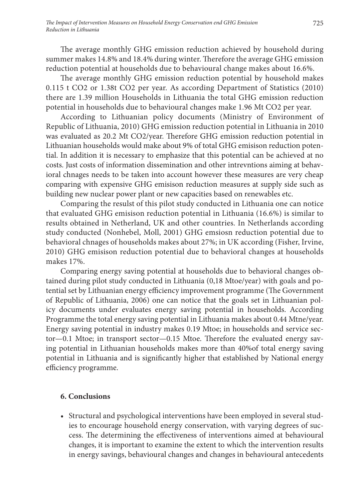The average monthly GHG emission reduction achieved by household during summer makes 14.8% and 18.4% during winter. Therefore the average GHG emission reduction potential at households due to behavioural change makes about 16.6%.

The average monthly GHG emission reduction potential by household makes 0.115 t CO2 or 1.38t CO2 per year. As according Department of Statistics (2010) there are 1.39 million Households in Lithuania the total GHG emission reduction potential in households due to behavioural changes make 1.96 Mt CO2 per year.

According to Lithuanian policy documents (Ministry of Environment of Republic of Lithuania, 2010) GHG emission reduction potential in Lithuania in 2010 was evaluated as 20.2 Mt CO2/year. Therefore GHG emission reduction potential in Lithuanian households would make about 9% of total GHG emisison reduction potential. In addition it is necessary to emphasize that this potential can be achieved at no costs. Just costs of information dissemination and other intrevntions aiming at behavioral chnages needs to be taken into account however these measures are very cheap comparing with expensive GHG emisison reduction measures at supply side such as building new nuclear power plant or new capacities based on renewables etc.

Comparing the resulst of this pilot study conducted in Lithuania one can notice that evaluated GHG emisison reduction potential in Lithuania (16.6%) is similar to results obtained in Netherland, UK and other countries. In Netherlands according study conducted (Nonhebel, Moll, 2001) GHG emsiosn reduction potential due to behavioral chnages of households makes about 27%; in UK according (Fisher, Irvine, 2010) GHG emisison reduction potential due to behavioral changes at households makes 17%.

Comparing energy saving potential at households due to behavioral changes obtained during pilot study conducted in Lithuania (0,18 Mtoe/year) with goals and potential set by Lithuanian energy efficiency improvement programme (The Government of Republic of Lithuania, 2006) one can notice that the goals set in Lithuanian policy documents under evaluates energy saving potential in households. According Programme the total energy saving potential in Lithuania makes about 0.44 Mtne/year. Energy saving potential in industry makes 0.19 Mtoe; in households and service sector—0.1 Mtoe; in transport sector—0.15 Mtoe. Therefore the evaluated energy saving potential in Lithuanian households makes more than 40%of total energy saving potential in Lithuania and is significantly higher that established by National energy efficiency programme.

### **6. Conclusions**

• Structural and psychological interventions have been employed in several studies to encourage household energy conservation, with varying degrees of success. The determining the effectiveness of interventions aimed at behavioural changes, it is important to examine the extent to which the intervention results in energy savings, behavioural changes and changes in behavioural antecedents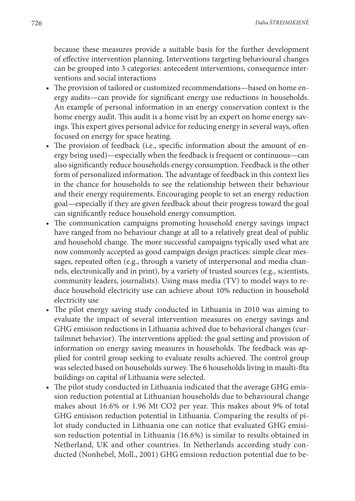because these measures provide a suitable basis for the further development of effective intervention planning. Interventions targeting behavioural changes can be grouped into 3 categories: antecedent interventions, consequence interventions and social interactions

- The provision of tailored or customized recommendations—based on home energy audits—can provide for significant energy use reductions in households. An example of personal information in an energy conservation context is the home energy audit. This audit is a home visit by an expert on home energy savings. This expert gives personal advice for reducing energy in several ways, often focused on energy for space heating.
- The provision of feedback (i.e., specific information about the amount of energy being used)—especially when the feedback is frequent or continuous—can also significantly reduce households energy consumption. Feedback is the other form of personalized information. The advantage of feedback in this context lies in the chance for households to see the relationship between their behaviour and their energy requirements. Encouraging people to set an energy reduction goal—especially if they are given feedback about their progress toward the goal can significantly reduce household energy consumption.
- The communication campaigns promoting household energy savings impact have ranged from no behaviour change at all to a relatively great deal of public and household change. The more successful campaigns typically used what are now commonly accepted as good campaign design practices: simple clear messages, repeated often (e.g., through a variety of interpersonal and media channels, electronically and in print), by a variety of trusted sources (e.g., scientists, community leaders, journalists). Using mass media (TV) to model ways to reduce household electricity use can achieve about 10% reduction in household electricity use
- The pilot energy saving study conducted in Lithuania in 2010 was aiming to evaluate the impact of several intervention measures on energy savings and GHG emisison reductions in Lithuania achived due to behavioral changes (curtailmnet behavior). The interventions applied: the goal setting and provision of information on energy saving measures in households. The feedback was applied for contril group seeking to evaluate results achieved. The control group was selected based on households surwey. The 6 households living in maulti-flta buildings on capital of Lithuania were selected.
- The pilot study conducted in Lithuania indicated that the average GHG emission reduction potential at Lithuanian households due to behavioural change makes about 16.6% or 1.96 Mt CO2 per year. This makes about 9% of total GHG emisison reduction potential in Lithuania. Comparing the results of pilot study conducted in Lithuania one can notice that evaluated GHG emisison reduction potential in Lithuania (16.6%) is similar to results obtained in Netherland, UK and other countries. In Netherlands according study conducted (Nonhebel, Moll., 2001) GHG emsiosn reduction potential due to be-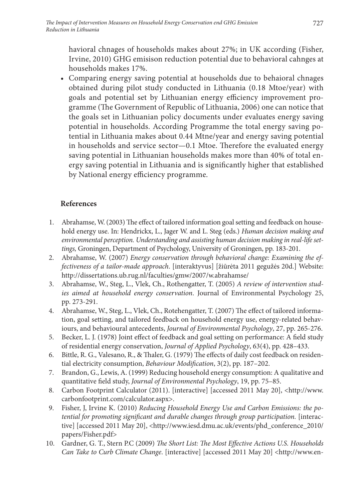havioral chnages of households makes about 27%; in UK according (Fisher, Irvine, 2010) GHG emisison reduction potential due to behavioral cahnges at households makes 17%.

• Comparing energy saving potential at households due to behaioral chnages obtained during pilot study conducted in Lithuania (0.18 Mtoe/year) with goals and potential set by Lithuanian energy efficiency improvement programme (The Government of Republic of Lithuania, 2006) one can notice that the goals set in Lithuanian policy documents under evaluates energy saving potential in households. According Programme the total energy saving potential in Lithuania makes about 0.44 Mtne/year and energy saving potential in households and service sector—0.1 Mtoe. Therefore the evaluated energy saving potential in Lithuanian households makes more than 40% of total energy saving potential in Lithuania and is significantly higher that established by National energy efficiency programme.

# **References**

- 1. Abrahamse, W. (2003) The effect of tailored information goal setting and feedback on household energy use. In: Hendrickx, L., Jager W. and L. Steg (eds.) *Human decision making and environmental perception. Understanding and assisting human decision making in real-life settings,* Groningen, Department of Psychology, University of Groningen, pp. 183-201.
- 2. Abrahamse, W. (2007) *Energy conservation through behavioral change: Examining the effectiveness of a tailor-made approach*. [interaktyvus] [žiūrėta 2011 gegužės 20d.] Website: http://dissertations.ub.rug.nl/faculties/gmw/2007/w.abrahamse/
- 3. Abrahamse, W., Steg, L., Vlek, Ch., Rothengatter, T. (2005) *A review of intervention studies aimed at household energy conservation*. Journal of Environmental Psychology 25, pp. 273-291.
- 4. Abrahamse, W., Steg, L., Vlek, Ch., Rotehengatter, T. (2007) The effect of tailored information, goal setting, and tailored feedback on household energy use, energy-related behaviours, and behavioural antecedents, *Journal of Environmental Psychology*, 27, pp. 265-276.
- 5. Becker, L. J. (1978) Joint effect of feedback and goal setting on performance: A field study of residential energy conservation, *Journal of Applied Psychology*, 63(4), pp. 428–433.
- 6. Bittle, R. G., Valesano, R., & Thaler, G. (1979) The effects of daily cost feedback on residential electricity consumption, *Behaviour Modification*, 3(2), pp. 187–202.
- 7. Brandon, G., Lewis, A. (1999) Reducing household energy consumption: A qualitative and quantitative field study, *Journal of Environmental Psychology*, 19, pp. 75–85.
- 8. Carbon Footprint Calculator (2011). [interactive] [accessed 2011 May 20], <http://www. carbonfootprint.com/calculator.aspx>.
- 9. Fisher, J, Irvine K. (2010) *Reducing Household Energy Use and Carbon Emissions: the po*tential for promoting significant and durable changes through group participation. [interactive] [accessed 2011 May 20], <http://www.iesd.dmu.ac.uk/events/phd\_conference\_2010/ papers/Fisher.pdf>
- 10. Gardner, G. T., Stern P.C (2009) *The Short List: The Most Effective Actions U.S. Households Can Take to Curb Climate Change*. [interactive] [accessed 2011 May 20] <http://www.en-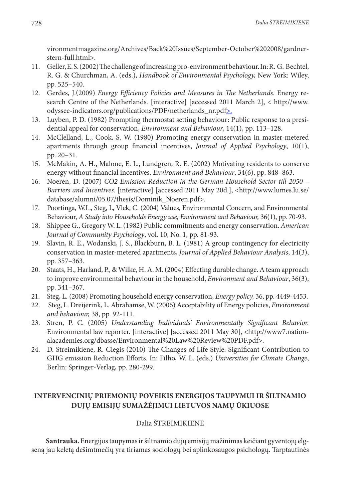vironmentmagazine.org/Archives/Back%20Issues/September-October%202008/gardnerstern-full.html>.

- 11. Geller, E. S. (2002) The challenge of increasing pro-environment behaviour. In: R. G. Bechtel, R. G. & Churchman, A. (eds.), *Handbook of Environmental Psychology,* New York: Wiley, pp. 525–540.
- 12. Gerdes, J.(2009) *Energy Efficiency Policies and Measures in The Netherlands*. Energy research Centre of the Netherlands*.* [interactive] [accessed 2011 March 2], < http://www. odyssee-indicators.org/publications/PDF/netherlands\_nr.pdf>.
- 13. Luyben, P. D. (1982) Prompting thermostat setting behaviour: Public response to a presidential appeal for conservation, *Environment and Behaviour*, 14(1), pp. 113–128.
- 14. McClelland, L., Cook, S. W. (1980) Promoting energy conservation in master-metered apartments through group financial incentives, *Journal of Applied Psychology*, 10(1), pp. 20–31.
- 15. McMakin, A. H., Malone, E. L., Lundgren, R. E. (2002) Motivating residents to conserve energy without financial incentives. *Environment and Behaviour*, 34(6), pp. 848–863.
- 16. Noeren, D. (2007) *CO2 Emission Reduction in the German Household Sector till 2050*  Barriers and Incentives. [interactive] [accessed 2011 May 20d.], <http://www.lumes.lu.se/ database/alumni/05.07/thesis/Dominik\_Noeren.pdf>.
- 17. Poortinga, W.L., Steg, L, Vlek, C. (2004) Values, Environmental Concern, and Environmental Behaviour, *A Study into Households Energy use, Environment and Behaviour,* 36(1), pp. 70-93.
- 18. Shippee G., Gregory W. L. (1982) Public commitments and energy conservation. *American Journal of Community Psychology*, vol. 10, No. 1, pp. 81-93.
- 19. Slavin, R. E., Wodanski, J. S., Blackburn, B. L. (1981) A group contingency for electricity conservation in master-metered apartments, *Journal of Applied Behaviour Analysis*, 14(3), pp. 357–363.
- 20. Staats, H., Harland, P., & Wilke, H. A. M. (2004) Effecting durable change. A team approach to improve environmental behaviour in the household, *Environment and Behaviour*, 36(3), pp. 341–367.
- 21. Steg, L. (2008) Promoting household energy conservation, *Energy policy,* 36, pp. 4449-4453.
- 22. Steg, L. Dreijerink, L. Abrahamse, W. (2006) Acceptability of Energy policies, *Environment and behaviour,* 38, pp. 92-111.
- 23. Stren, P. C. (2005) *Understanding Individuals' Environmentally Significant Behavior.*  Environmental law reporter. [interactive] [accessed 2011 May 30], <http://www7.nationalacademies.org/dbasse/Environmental%20Law%20Review%20PDF.pdf>.
- 24. D. Streimikiene, R. Ciegis (2010) The Changes of Life Style: Significant Contribution to GHG emission Reduction Efforts. In: Filho, W. L. (eds.) *Universities for Climate Change*, Berlin: Springer-Verlag, pp. 280-299.

### **Intervencinių priemonių poveikis energijos taupymui ir šiltnamio dujų emisijų sumažėjimui Lietuvos namų ūkiuose**

### Dalia ŠTREIMIKIENĖ

**Santrauka.** Energijos taupymas ir šiltnamio dujų emisijų mažinimas keičiant gyventojų elgseną jau keletą dešimtmečių yra tiriamas sociologų bei aplinkosaugos psichologų. Tarptautinės